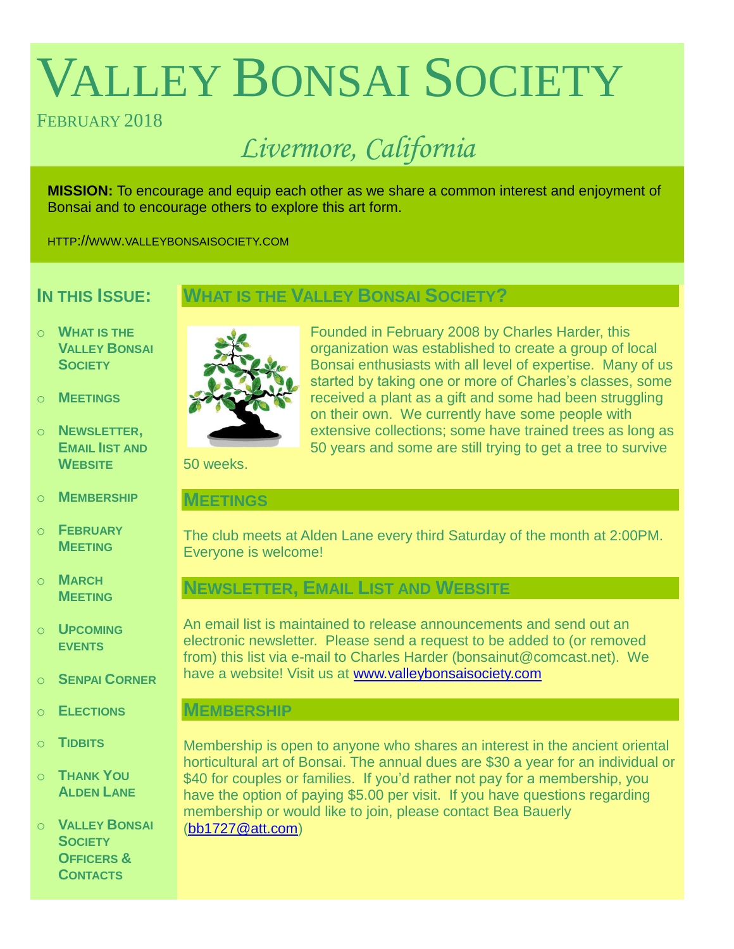# VALLEY BONSAI SOCIETY

# FEBRUARY 2018

# *Livermore, California*

**MISSION:** To encourage and equip each other as we share a common interest and enjoyment of Bonsai and to encourage others to explore this art form.

HTTP://WWW.VALLEYBONSAISOCIETY.COM

# **IN THIS ISSUE:**

# **WHAT IS THE VALLEY BONSAI SOCIETY?**

- o **WHAT IS THE VALLEY BONSAI SOCIETY**
- o **MEETINGS**
- o **NEWSLETTER, EMAIL IIST AND WEBSITE**
- o **MEMBERSHIP**
- o **FEBRUARY MEETING**
- o **MARCH MEETING**
- o **UPCOMING EVENTS**
- o **SENPAI CORNER**
- o **ELECTIONS**
- o **TIDBITS**
- o **THANK YOU ALDEN LANE**

o **VALLEY BONSAI SOCIETY OFFICERS & CONTACTS**



Founded in February 2008 by Charles Harder, this organization was established to create a group of local Bonsai enthusiasts with all level of expertise. Many of us started by taking one or more of Charles's classes, some received a plant as a gift and some had been struggling on their own. We currently have some people with extensive collections; some have trained trees as long as 50 years and some are still trying to get a tree to survive

50 weeks.

## **MEETINGS**

The club meets at Alden Lane every third Saturday of the month at 2:00PM. Everyone is welcome!

# **NEWSLETTER, EMAIL LIST AND WEBSITE**

An email list is maintained to release announcements and send out an electronic newsletter. Please send a request to be added to (or removed from) this list via e-mail to Charles Harder (bonsainut@comcast.net). We have a website! Visit us at [www.valleybonsaisociety.com](http://www.valleybonsaisociety.com/)

# **MEMBERSHIP**

Membership is open to anyone who shares an interest in the ancient oriental horticultural art of Bonsai. The annual dues are \$30 a year for an individual or \$40 for couples or families. If you'd rather not pay for a membership, you have the option of paying \$5.00 per visit. If you have questions regarding membership or would like to join, please contact Bea Bauerly [\(bb1727@att.com\)](mailto:bb1727@att.com)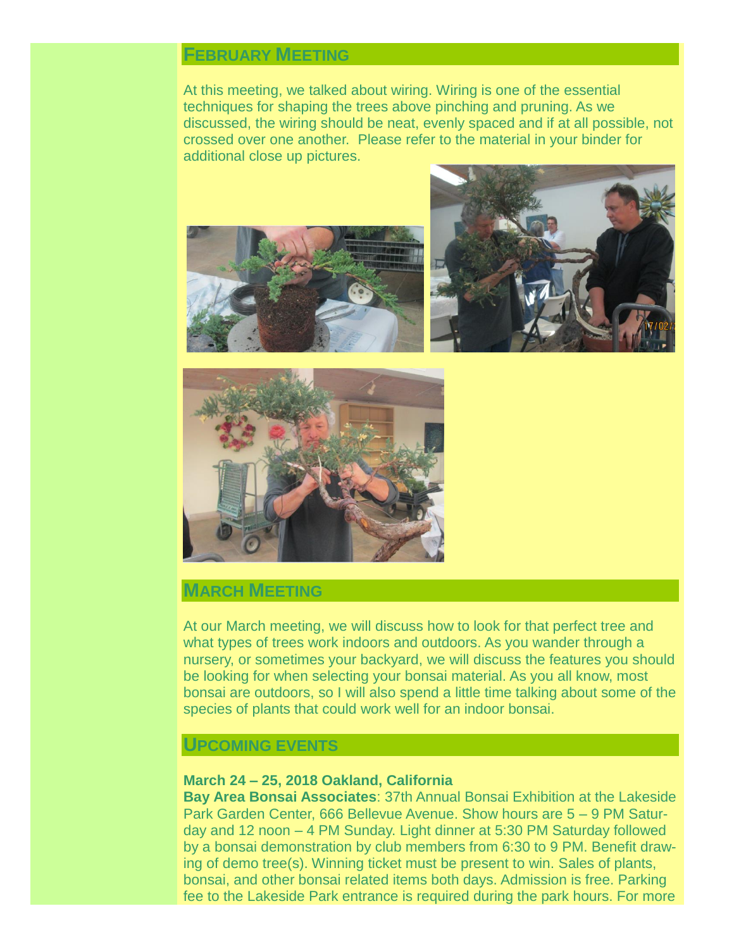# **FEBRUARY MEETING**

At this meeting, we talked about wiring. Wiring is one of the essential techniques for shaping the trees above pinching and pruning. As we discussed, the wiring should be neat, evenly spaced and if at all possible, not crossed over one another. Please refer to the material in your binder for additional close up pictures.





# **MARCH MEETING**

At our March meeting, we will discuss how to look for that perfect tree and what types of trees work indoors and outdoors. As you wander through a nursery, or sometimes your backyard, we will discuss the features you should be looking for when selecting your bonsai material. As you all know, most bonsai are outdoors, so I will also spend a little time talking about some of the species of plants that could work well for an indoor bonsai.

## **UPCOMING EVENTS**

#### **March 24 – 25, 2018 Oakland, California**

**Bay Area Bonsai Associates**: 37th Annual Bonsai Exhibition at the Lakeside Park Garden Center, 666 Bellevue Avenue. Show hours are 5 – 9 PM Saturday and 12 noon – 4 PM Sunday. Light dinner at 5:30 PM Saturday followed by a bonsai demonstration by club members from 6:30 to 9 PM. Benefit drawing of demo tree(s). Winning ticket must be present to win. Sales of plants, bonsai, and other bonsai related items both days. Admission is free. Parking fee to the Lakeside Park entrance is required during the park hours. For more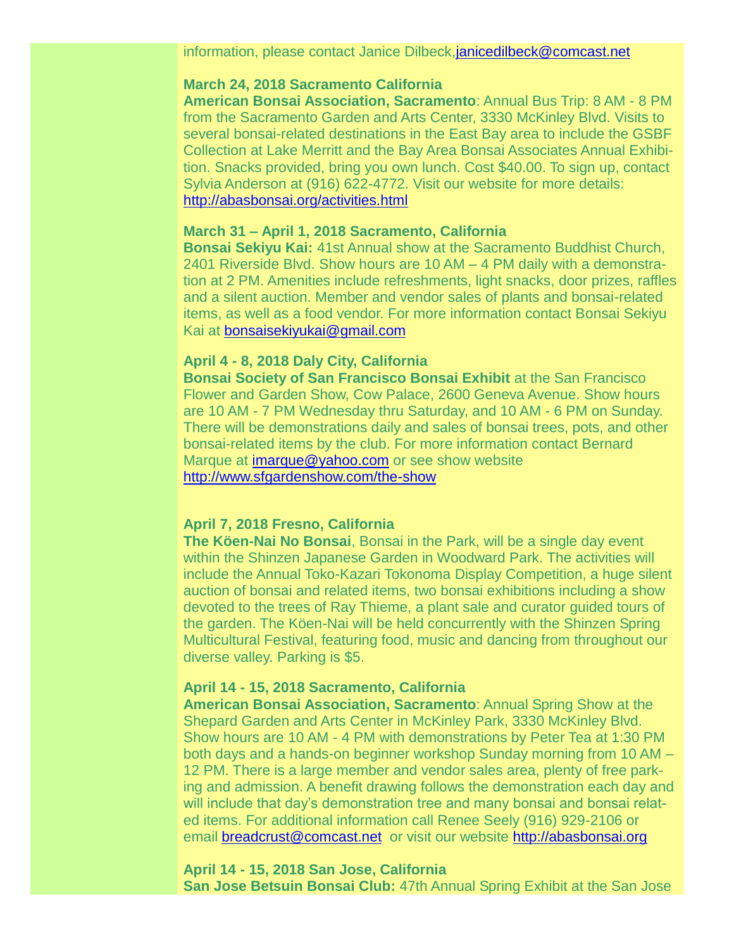#### **March 24, 2018 Sacramento California**

**American Bonsai Association, Sacramento**: Annual Bus Trip: 8 AM - 8 PM from the Sacramento Garden and Arts Center, 3330 McKinley Blvd. Visits to several bonsai-related destinations in the East Bay area to include the GSBF Collection at Lake Merritt and the Bay Area Bonsai Associates Annual Exhibition. Snacks provided, bring you own lunch. Cost \$40.00. To sign up, contact Sylvia Anderson at (916) 622-4772. Visit our website for more details: <http://abasbonsai.org/activities.html>

#### **March 31 – April 1, 2018 Sacramento, California**

**Bonsai Sekiyu Kai:** 41st Annual show at the Sacramento Buddhist Church, 2401 Riverside Blvd. Show hours are 10 AM – 4 PM daily with a demonstration at 2 PM. Amenities include refreshments, light snacks, door prizes, raffles and a silent auction. Member and vendor sales of plants and bonsai-related items, as well as a food vendor. For more information contact Bonsai Sekiyu Kai at [bonsaisekiyukai@gmail.com](mailto:bonsaisekiyukai@gmail.com)

#### **April 4 - 8, 2018 Daly City, California**

**Bonsai Society of San Francisco Bonsai Exhibit** at the San Francisco Flower and Garden Show, Cow Palace, 2600 Geneva Avenue. Show hours are 10 AM - 7 PM Wednesday thru Saturday, and 10 AM - 6 PM on Sunday. There will be demonstrations daily and sales of bonsai trees, pots, and other bonsai-related items by the club. For more information contact Bernard Marque at [imarque@yahoo.com](mailto:imarque@yahoo.com) or see show website <http://www.sfgardenshow.com/the-show>

#### **April 7, 2018 Fresno, California**

**The Köen-Nai No Bonsai**, Bonsai in the Park, will be a single day event within the Shinzen Japanese Garden in Woodward Park. The activities will include the Annual Toko-Kazari Tokonoma Display Competition, a huge silent auction of bonsai and related items, two bonsai exhibitions including a show devoted to the trees of Ray Thieme, a plant sale and curator guided tours of the garden. The Köen-Nai will be held concurrently with the Shinzen Spring Multicultural Festival, featuring food, music and dancing from throughout our diverse valley. Parking is \$5.

#### **April 14 - 15, 2018 Sacramento, California**

**American Bonsai Association, Sacramento**: Annual Spring Show at the Shepard Garden and Arts Center in McKinley Park, 3330 McKinley Blvd. Show hours are 10 AM - 4 PM with demonstrations by Peter Tea at 1:30 PM both days and a hands-on beginner workshop Sunday morning from 10 AM – 12 PM. There is a large member and vendor sales area, plenty of free parking and admission. A benefit drawing follows the demonstration each day and will include that day's demonstration tree and many bonsai and bonsai related items. For additional information call Renee Seely (916) 929-2106 or email [breadcrust@comcast.net](mailto:breadcrust@comcast.net) or visit our website [http://abasbonsai.org](http://abasbonsai.org/)

**April 14 - 15, 2018 San Jose, California San Jose Betsuin Bonsai Club:** 47th Annual Spring Exhibit at the San Jose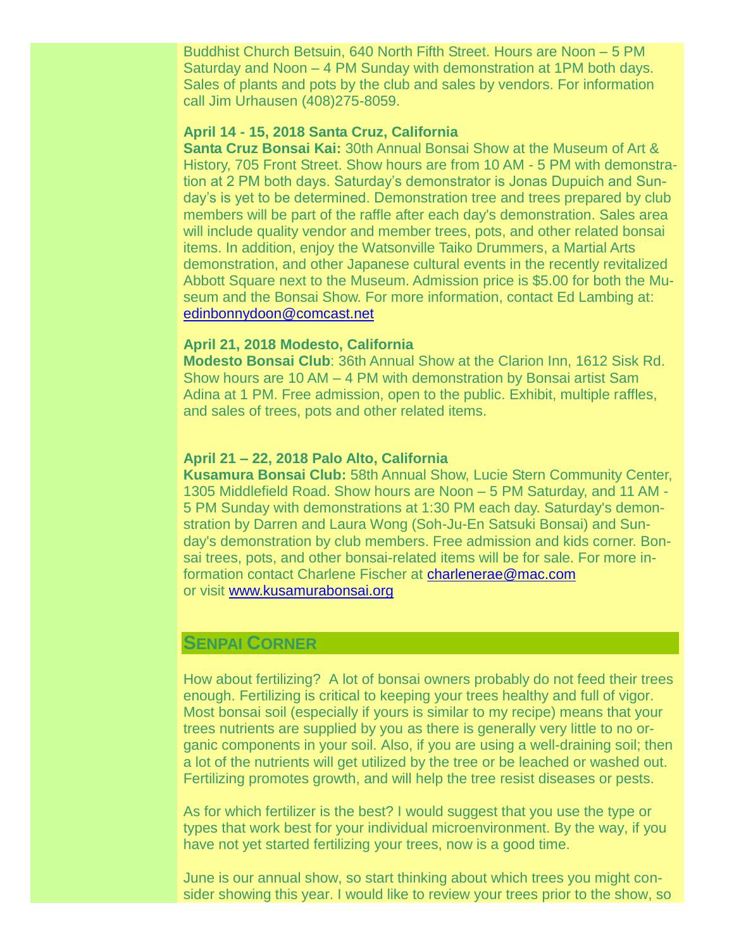Buddhist Church Betsuin, 640 North Fifth Street. Hours are Noon – 5 PM Saturday and Noon – 4 PM Sunday with demonstration at 1PM both days. Sales of plants and pots by the club and sales by vendors. For information call Jim Urhausen (408)275-8059.

#### **April 14 - 15, 2018 Santa Cruz, California**

**Santa Cruz Bonsai Kai:** 30th Annual Bonsai Show at the Museum of Art & History, 705 Front Street. Show hours are from 10 AM - 5 PM with demonstration at 2 PM both days. Saturday's demonstrator is Jonas Dupuich and Sunday's is yet to be determined. Demonstration tree and trees prepared by club members will be part of the raffle after each day's demonstration. Sales area will include quality vendor and member trees, pots, and other related bonsai items. In addition, enjoy the Watsonville Taiko Drummers, a Martial Arts demonstration, and other Japanese cultural events in the recently revitalized Abbott Square next to the Museum. Admission price is \$5.00 for both the Museum and the Bonsai Show. For more information, contact Ed Lambing at: [edinbonnydoon@comcast.net](mailto:edinbonnydoon@comcast.net)

#### **April 21, 2018 Modesto, California**

**Modesto Bonsai Club**: 36th Annual Show at the Clarion Inn, 1612 Sisk Rd. Show hours are 10 AM – 4 PM with demonstration by Bonsai artist Sam Adina at 1 PM. Free admission, open to the public. Exhibit, multiple raffles, and sales of trees, pots and other related items.

#### **April 21 – 22, 2018 Palo Alto, California**

**Kusamura Bonsai Club:** 58th Annual Show, Lucie Stern Community Center, 1305 Middlefield Road. Show hours are Noon – 5 PM Saturday, and 11 AM - 5 PM Sunday with demonstrations at 1:30 PM each day. Saturday's demonstration by Darren and Laura Wong (Soh-Ju-En Satsuki Bonsai) and Sunday's demonstration by club members. Free admission and kids corner. Bonsai trees, pots, and other bonsai-related items will be for sale. For more information contact Charlene Fischer at [charlenerae@mac.com](mailto:charlenerae@mac.com) or visit [www.kusamurabonsai.org](http://www.kusamurabonsai.org/)

# **SENPAI CORNER**

How about fertilizing? A lot of bonsai owners probably do not feed their trees enough. Fertilizing is critical to keeping your trees healthy and full of vigor. Most bonsai soil (especially if yours is similar to my recipe) means that your trees nutrients are supplied by you as there is generally very little to no organic components in your soil. Also, if you are using a well-draining soil; then a lot of the nutrients will get utilized by the tree or be leached or washed out. Fertilizing promotes growth, and will help the tree resist diseases or pests.

As for which fertilizer is the best? I would suggest that you use the type or types that work best for your individual microenvironment. By the way, if you have not yet started fertilizing your trees, now is a good time.

June is our annual show, so start thinking about which trees you might consider showing this year. I would like to review your trees prior to the show, so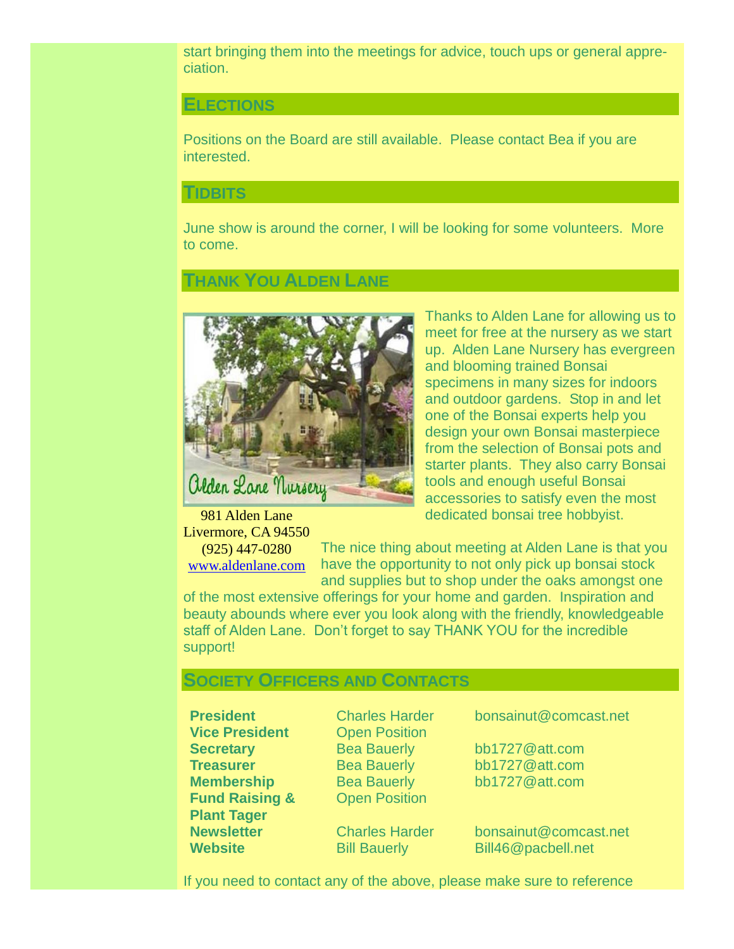start bringing them into the meetings for advice, touch ups or general appreciation.

#### **ELECTIONS**

Positions on the Board are still available. Please contact Bea if you are interested.

#### **TIDBITS**

June show is around the corner, I will be looking for some volunteers. More to come.

# **THANK YOU ALDEN LANE**



Thanks to Alden Lane for allowing us to meet for free at the nursery as we start up. Alden Lane Nursery has evergreen and blooming trained Bonsai specimens in many sizes for indoors and outdoor gardens. Stop in and let one of the Bonsai experts help you design your own Bonsai masterpiece from the selection of Bonsai pots and starter plants. They also carry Bonsai tools and enough useful Bonsai accessories to satisfy even the most dedicated bonsai tree hobbyist.

981 Alden Lane Livermore, CA 94550 (925) 447-0280 [www.aldenlane.com](http://www.aldenlane.com/)

The nice thing about meeting at Alden Lane is that you have the opportunity to not only pick up bonsai stock and supplies but to shop under the oaks amongst one

of the most extensive offerings for your home and garden. Inspiration and beauty abounds where ever you look along with the friendly, knowledgeable staff of Alden Lane. Don't forget to say THANK YOU for the incredible support!

#### **SOCIETY OFFICERS AND CONTACTS**

**Vice President** Open Position **Secretary** Bea Bauerly bb1727@att.com **Fund Raising & Plant Tager**

**Open Position** 

**President** Charles Harder bonsainut@comcast.net

**Treasurer** Bea Bauerly bb1727@att.com **Membership** Bea Bauerly bb1727@att.com

**Newsletter** Charles Harder bonsainut@comcast.net **Website** Bill Bauerly Bill46@pacbell.net

If you need to contact any of the above, please make sure to reference